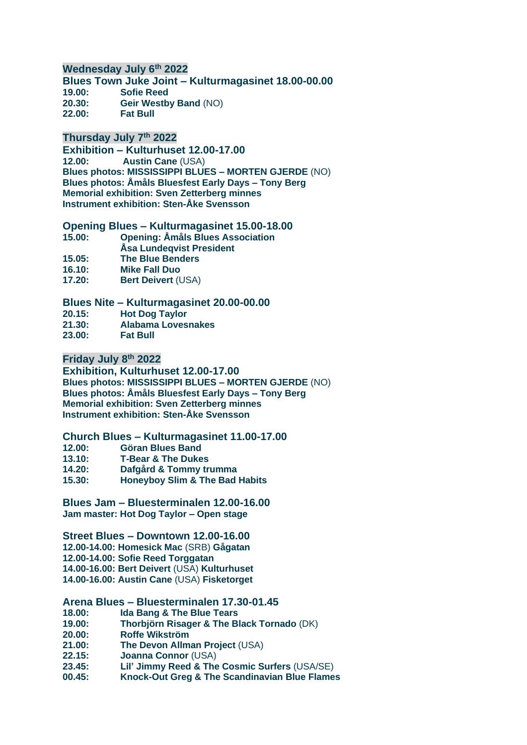# **Wednesday July 6th 2022**

**Blues Town Juke Joint – Kulturmagasinet 18.00-00.00 19.00: Sofie Reed 20.30: Geir Westby Band** (NO) **22.00: Fat Bull**

# **Thursday July 7th 2022**

**Exhibition – Kulturhuset 12.00-17.00 12.00: Austin Cane** (USA) **Blues photos: MISSISSIPPI BLUES – MORTEN GJERDE** (NO) **Blues photos: Åmåls Bluesfest Early Days – Tony Berg Memorial exhibition: Sven Zetterberg minnes Instrument exhibition: Sten-Åke Svensson**

#### **Opening Blues – Kulturmagasinet 15.00-18.00**

- **15.00: Opening: Åmåls Blues Association**
- **Åsa Lundeqvist President**
- **15.05: The Blue Benders**
- **16.10: Mike Fall Duo**
- **17.20: Bert Deivert** (USA)

### **Blues Nite – Kulturmagasinet 20.00-00.00**

**20.15: Hot Dog Taylor**

- **21.30: Alabama Lovesnakes**
- **23.00: Fat Bull**

# **Friday July 8th 2022**

**Exhibition, Kulturhuset 12.00-17.00 Blues photos: MISSISSIPPI BLUES – MORTEN GJERDE** (NO) **Blues photos: Åmåls Bluesfest Early Days – Tony Berg Memorial exhibition: Sven Zetterberg minnes Instrument exhibition: Sten-Åke Svensson**

#### **Church Blues – Kulturmagasinet 11.00-17.00**

- **12.00: Göran Blues Band**
- **13.10: T-Bear & The Dukes**
- **14.20: Dafgård & Tommy trumma**
- **15.30: Honeyboy Slim & The Bad Habits**

**Blues Jam – Bluesterminalen 12.00-16.00 Jam master: Hot Dog Taylor – Open stage**

#### **Street Blues – Downtown 12.00-16.00**

**12.00-14.00: Homesick Mac** (SRB) **Gågatan 12.00-14.00: Sofie Reed Torggatan 14.00-16.00: Bert Deivert** (USA) **Kulturhuset 14.00-16.00: Austin Cane** (USA) **Fisketorget**

# **Arena Blues – Bluesterminalen 17.30-01.45**

- **18.00: Ida Bang & The Blue Tears**
- **19.00: Thorbjörn Risager & The Black Tornado** (DK)
- **20.00: Roffe Wikström**
- **21.00: The Devon Allman Project** (USA)
- **22.15: Joanna Connor** (USA)
- **23.45: Lil' Jimmy Reed & The Cosmic Surfers** (USA/SE)
- **00.45: Knock-Out Greg & The Scandinavian Blue Flames**